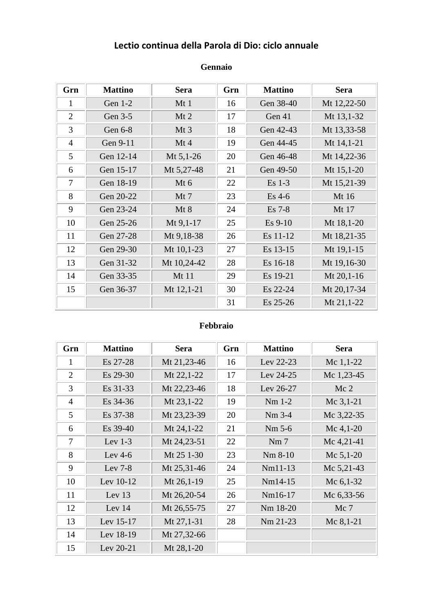### **Lectio continua della Parola di Dio: ciclo annuale**

| Grn            | <b>Mattino</b> | <b>Sera</b> | Grn | <b>Mattino</b> | <b>Sera</b> |
|----------------|----------------|-------------|-----|----------------|-------------|
| 1              | Gen 1-2        | Mt1         | 16  | Gen 38-40      | Mt 12,22-50 |
| $\overline{2}$ | Gen 3-5        | $Mt$ 2      | 17  | Gen 41         | Mt 13,1-32  |
| 3              | Gen 6-8        | Mt3         | 18  | Gen 42-43      | Mt 13,33-58 |
| $\overline{4}$ | Gen 9-11       | Mt4         | 19  | Gen 44-45      | Mt 14,1-21  |
| 5              | Gen 12-14      | Mt 5,1-26   | 20  | Gen 46-48      | Mt 14,22-36 |
| 6              | Gen 15-17      | Mt 5,27-48  | 21  | Gen 49-50      | Mt 15,1-20  |
| $\tau$         | Gen 18-19      | $Mt$ 6      | 22  | $Es$ 1-3       | Mt 15,21-39 |
| 8              | Gen 20-22      | Mt 7        | 23  | $Es$ 4-6       | Mt 16       |
| 9              | Gen 23-24      | Mt 8        | 24  | $Es$ 7-8       | Mt 17       |
| 10             | Gen 25-26      | Mt 9,1-17   | 25  | $Es$ 9-10      | Mt 18,1-20  |
| 11             | Gen 27-28      | Mt 9,18-38  | 26  | Es 11-12       | Mt 18,21-35 |
| 12             | Gen 29-30      | Mt 10,1-23  | 27  | Es 13-15       | Mt 19,1-15  |
| 13             | Gen 31-32      | Mt 10,24-42 | 28  | Es 16-18       | Mt 19,16-30 |
| 14             | Gen 33-35      | Mt 11       | 29  | Es 19-21       | Mt 20,1-16  |
| 15             | Gen 36-37      | Mt 12,1-21  | 30  | Es 22-24       | Mt 20,17-34 |
|                |                |             | 31  | $Es$ 25-26     | Mt 21,1-22  |

#### **Gennaio**

#### **Febbraio**

| Grn            | <b>Mattino</b> | <b>Sera</b> | Grn | <b>Mattino</b>  | <b>Sera</b>     |
|----------------|----------------|-------------|-----|-----------------|-----------------|
| 1              | Es 27-28       | Mt 21,23-46 | 16  | Lev 22-23       | Mc $1,1-22$     |
| $\overline{2}$ | Es 29-30       | Mt 22,1-22  | 17  | Lev 24-25       | Mc 1,23-45      |
| 3              | Es 31-33       | Mt 22,23-46 | 18  | Lev 26-27       | Mc <sub>2</sub> |
| $\overline{4}$ | Es 34-36       | Mt 23,1-22  | 19  | $Nm$ 1-2        | Mc $3,1-21$     |
| 5              | Es 37-38       | Mt 23,23-39 | 20  | $Nm$ 3-4        | Mc 3,22-35      |
| 6              | Es 39-40       | Mt 24,1-22  | 21  | Nm 5-6          | Mc $4,1-20$     |
| $\overline{7}$ | Lev $1-3$      | Mt 24,23-51 | 22  | Nm <sub>7</sub> | Mc 4,21-41      |
| 8              | Lev $4-6$      | Mt 25 1-30  | 23  | Nm 8-10         | Mc $5,1-20$     |
| 9              | Lev $7-8$      | Mt 25,31-46 | 24  | $Nm11-13$       | Mc 5,21-43      |
| 10             | Lev 10-12      | Mt 26,1-19  | 25  | $Nm14-15$       | Mc $6,1-32$     |
| 11             | Lev $13$       | Mt 26,20-54 | 26  | Nm16-17         | Mc 6,33-56      |
| 12             | Lev 14         | Mt 26,55-75 | 27  | Nm 18-20        | Mc 7            |
| 13             | Lev 15-17      | Mt 27,1-31  | 28  | $Nm$ 21-23      | Mc $8,1-21$     |
| 14             | Lev 18-19      | Mt 27,32-66 |     |                 |                 |
| 15             | Lev 20-21      | Mt 28,1-20  |     |                 |                 |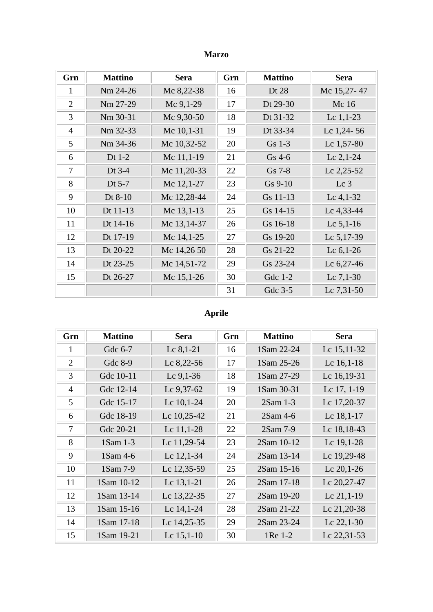### **Marzo**

| Grn            | <b>Mattino</b> | <b>Sera</b>  | Grn | <b>Mattino</b> | <b>Sera</b>     |
|----------------|----------------|--------------|-----|----------------|-----------------|
| 1              | Nm 24-26       | Mc 8,22-38   | 16  | Dt 28          | Mc 15,27-47     |
| $\overline{2}$ | Nm 27-29       | Mc $9,1-29$  | 17  | Dt 29-30       | Mc 16           |
| 3              | Nm 30-31       | Mc 9,30-50   | 18  | Dt 31-32       | Lc $1,1-23$     |
| $\overline{4}$ | Nm 32-33       | Mc 10,1-31   | 19  | Dt 33-34       | Lc $1,24-56$    |
| 5              | Nm 34-36       | Mc 10,32-52  | 20  | Gs 1-3         | Lc 1,57-80      |
| 6              | Dt $1-2$       | Mc 11,1-19   | 21  | $Gs$ 4-6       | Lc $2,1-24$     |
| 7              | Dt $3-4$       | Mc 11,20-33  | 22  | Gs 7-8         | Lc 2,25-52      |
| 8              | Dt 5-7         | Mc 12,1-27   | 23  | $Gs 9-10$      | Lc <sub>3</sub> |
| 9              | Dt 8-10        | Mc 12,28-44  | 24  | Gs 11-13       | Lc $4,1-32$     |
| 10             | Dt 11-13       | Mc 13,1-13   | 25  | Gs 14-15       | Lc 4,33-44      |
| 11             | Dt 14-16       | Mc 13,14-37  | 26  | Gs 16-18       | Lc $5,1-16$     |
| 12             | Dt 17-19       | Mc 14,1-25   | 27  | Gs 19-20       | Lc 5,17-39      |
| 13             | Dt 20-22       | Mc 14,26 50  | 28  | Gs 21-22       | Lc $6,1-26$     |
| 14             | Dt 23-25       | Mc 14,51-72  | 29  | Gs 23-24       | Lc $6,27-46$    |
| 15             | Dt 26-27       | Mc $15,1-26$ | 30  | Gdc 1-2        | Lc $7,1-30$     |
|                |                |              | 31  | Gdc 3-5        | Lc 7,31-50      |

# **Aprile**

| Grn            | <b>Mattino</b> | Sera         | Grn | <b>Mattino</b> | <b>Sera</b>  |
|----------------|----------------|--------------|-----|----------------|--------------|
| 1              | Gdc 6-7        | Lc $8,1-21$  | 16  | 1Sam 22-24     | Lc 15,11-32  |
| $\overline{2}$ | Gdc 8-9        | Lc $8,22-56$ | 17  | 1Sam 25-26     | Lc $16,1-18$ |
| 3              | Gdc 10-11      | Lc $9,1-36$  | 18  | 1Sam 27-29     | Lc 16,19-31  |
| $\overline{4}$ | Gdc 12-14      | Lc $9,37-62$ | 19  | 1Sam 30-31     | Lc 17, 1-19  |
| 5              | Gdc 15-17      | Lc $10,1-24$ | 20  | $2Sam$ 1-3     | Lc 17,20-37  |
| 6              | Gdc 18-19      | Lc 10,25-42  | 21  | $2Sam4-6$      | Lc $18,1-17$ |
| 7              | Gdc 20-21      | Lc $11,1-28$ | 22  | 2Sam 7-9       | Lc 18,18-43  |
| 8              | 1Sam 1-3       | Lc 11,29-54  | 23  | 2Sam 10-12     | Lc 19,1-28   |
| 9              | 1Sam 4-6       | Lc 12,1-34   | 24  | 2Sam 13-14     | Lc 19,29-48  |
| 10             | 1Sam 7-9       | Lc 12,35-59  | 25  | 2Sam 15-16     | Lc $20,1-26$ |
| 11             | 1Sam 10-12     | Lc 13,1-21   | 26  | 2Sam 17-18     | Lc 20,27-47  |
| 12             | 1Sam 13-14     | Lc 13,22-35  | 27  | 2Sam 19-20     | Lc $21,1-19$ |
| 13             | 1Sam 15-16     | Lc 14,1-24   | 28  | 2Sam 21-22     | Lc 21,20-38  |
| 14             | 1Sam 17-18     | Lc 14,25-35  | 29  | 2Sam 23-24     | Lc $22,1-30$ |
| 15             | 1Sam 19-21     | Lc $15,1-10$ | 30  | 1Re 1-2        | Lc 22,31-53  |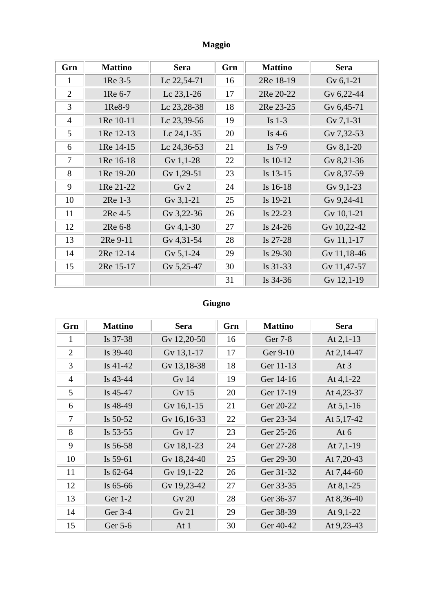### Maggio

| Grn            | <b>Mattino</b> | <b>Sera</b>     | Grn | <b>Mattino</b> | <b>Sera</b> |
|----------------|----------------|-----------------|-----|----------------|-------------|
| 1              | 1Re 3-5        | Lc 22,54-71     | 16  | 2Re 18-19      | Gv $6,1-21$ |
| $\overline{2}$ | 1Re 6-7        | Lc $23,1-26$    | 17  | 2Re 20-22      | Gv 6,22-44  |
| 3              | 1Re8-9         | Lc 23,28-38     | 18  | 2Re 23-25      | Gv 6,45-71  |
| 4              | 1Re 10-11      | Lc 23,39-56     | 19  | Is $1-3$       | Gv $7,1-31$ |
| 5              | 1Re 12-13      | Lc 24,1-35      | 20  | Is $4-6$       | Gv 7,32-53  |
| 6              | 1Re 14-15      | Lc 24,36-53     | 21  | Is $7-9$       | Gv $8,1-20$ |
| 7              | 1Re 16-18      | Gv $1,1-28$     | 22  | Is $10-12$     | Gv 8,21-36  |
| 8              | 1Re 19-20      | Gv 1,29-51      | 23  | Is 13-15       | Gv 8,37-59  |
| 9              | 1Re 21-22      | Gv <sub>2</sub> | 24  | Is 16-18       | Gv $9,1-23$ |
| 10             | 2Re 1-3        | Gv $3,1-21$     | 25  | Is 19-21       | Gv 9,24-41  |
| 11             | 2Re 4-5        | Gv 3,22-36      | 26  | Is $22-23$     | Gv 10,1-21  |
| 12             | 2Re 6-8        | Gv $4,1-30$     | 27  | Is $24-26$     | Gv 10,22-42 |
| 13             | 2Re 9-11       | Gv 4,31-54      | 28  | Is 27-28       | Gv 11,1-17  |
| 14             | 2Re 12-14      | Gv 5,1-24       | 29  | Is $29-30$     | Gv 11,18-46 |
| 15             | 2Re 15-17      | Gv 5,25-47      | 30  | Is 31-33       | Gv 11,47-57 |
|                |                |                 | 31  | Is 34-36       | Gv 12,1-19  |

# Giugno

| Grn            | <b>Mattino</b> | <b>Sera</b>  | Grn | <b>Mattino</b> | <b>Sera</b> |
|----------------|----------------|--------------|-----|----------------|-------------|
| 1              | Is 37-38       | Gv 12,20-50  | 16  | Ger 7-8        | At $2,1-13$ |
| $\overline{2}$ | Is $39-40$     | Gv 13,1-17   | 17  | Ger 9-10       | At 2,14-47  |
| 3              | Is $41-42$     | Gv 13,18-38  | 18  | Ger 11-13      | At $3$      |
| $\overline{4}$ | Is $43-44$     | Gv14         | 19  | Ger 14-16      | At $4,1-22$ |
| 5              | Is $45-47$     | Gv15         | 20  | Ger 17-19      | At 4,23-37  |
| 6              | Is 48-49       | Gv 16,1-15   | 21  | Ger 20-22      | At $5,1-16$ |
| 7              | Is $50-52$     | Gv 16,16-33  | 22  | Ger 23-34      | At 5,17-42  |
| 8              | Is 53-55       | <b>Gv 17</b> | 23  | Ger 25-26      | At $6$      |
| 9              | Is 56-58       | Gv 18,1-23   | 24  | Ger 27-28      | At $7,1-19$ |
| 10             | Is $59-61$     | Gv 18,24-40  | 25  | Ger 29-30      | At 7,20-43  |
| 11             | Is $62-64$     | Gv 19,1-22   | 26  | Ger 31-32      | At 7,44-60  |
| 12             | Is $65-66$     | Gv 19,23-42  | 27  | Ger 33-35      | At $8,1-25$ |
| 13             | Ger 1-2        | <b>Gv 20</b> | 28  | Ger 36-37      | At 8,36-40  |
| 14             | Ger 3-4        | <b>Gv 21</b> | 29  | Ger 38-39      | At $9,1-22$ |
| 15             | Ger 5-6        | At $1$       | 30  | Ger 40-42      | At 9,23-43  |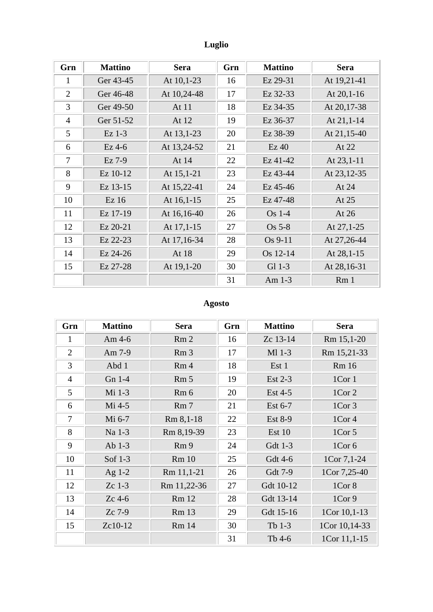# Luglio

| Grn            | <b>Mattino</b> | <b>Sera</b> | Grn | <b>Mattino</b> | <b>Sera</b>     |
|----------------|----------------|-------------|-----|----------------|-----------------|
| 1              | Ger 43-45      | At 10,1-23  | 16  | Ez 29-31       | At 19,21-41     |
| $\overline{2}$ | Ger 46-48      | At 10,24-48 | 17  | Ez 32-33       | At $20,1-16$    |
| 3              | Ger 49-50      | At 11       | 18  | Ez 34-35       | At 20,17-38     |
| $\overline{4}$ | Ger 51-52      | At 12       | 19  | Ez 36-37       | At 21,1-14      |
| 5              | $Ex$ 1-3       | At 13,1-23  | 20  | Ez 38-39       | At 21,15-40     |
| 6              | $Ez$ 4-6       | At 13,24-52 | 21  | $Ez$ 40        | At 22           |
| 7              | Ez 7-9         | At 14       | 22  | Ez 41-42       | At 23,1-11      |
| 8              | Ez 10-12       | At 15,1-21  | 23  | Ez 43-44       | At 23,12-35     |
| 9              | Ez 13-15       | At 15,22-41 | 24  | Ez 45-46       | At 24           |
| 10             | Ez16           | At 16,1-15  | 25  | Ez 47-48       | At 25           |
| 11             | Ez 17-19       | At 16,16-40 | 26  | $Os$ 1-4       | At 26           |
| 12             | Ez 20-21       | At 17,1-15  | 27  | $Os5-8$        | At 27,1-25      |
| 13             | Ez 22-23       | At 17,16-34 | 28  | Os 9-11        | At 27,26-44     |
| 14             | Ez 24-26       | At 18       | 29  | Os 12-14       | At 28,1-15      |
| 15             | Ez 27-28       | At 19,1-20  | 30  | $Gl$ 1-3       | At 28,16-31     |
|                |                |             | 31  | Am $1-3$       | Rm <sub>1</sub> |

# Agosto

| Grn            | <b>Mattino</b> | <b>Sera</b>     | Grn | <b>Mattino</b> | <b>Sera</b>   |
|----------------|----------------|-----------------|-----|----------------|---------------|
| 1              | Am $4-6$       | Rm <sub>2</sub> | 16  | Zc 13-14       | Rm 15,1-20    |
| $\overline{2}$ | Am 7-9         | Rm <sub>3</sub> | 17  | M1 1-3         | Rm 15,21-33   |
| 3              | Abd 1          | Rm <sub>4</sub> | 18  | Est 1          | <b>Rm</b> 16  |
| $\overline{4}$ | Gn 1-4         | Rm <sub>5</sub> | 19  | Est $2-3$      | $1$ Cor $1$   |
| 5              | Mi 1-3         | Rm <sub>6</sub> | 20  | Est 4-5        | 1Cor 2        |
| 6              | $Mi$ 4-5       | Rm <sub>7</sub> | 21  | Est 6-7        | 1Cor 3        |
| 7              | Mi 6-7         | Rm 8,1-18       | 22  | <b>Est 8-9</b> | 1Cor 4        |
| 8              | Na 1-3         | Rm 8,19-39      | 23  | Est 10         | $1$ Cor 5     |
| 9              | Ab $1-3$       | Rm <sub>9</sub> | 24  | Gdt 1-3        | 1Cor 6        |
| 10             | Sof 1-3        | <b>Rm</b> 10    | 25  | Gdt 4-6        | 1Cor 7,1-24   |
| 11             | Ag $1-2$       | Rm 11,1-21      | 26  | Gdt 7-9        | 1Cor 7,25-40  |
| 12             | $Zc$ 1-3       | Rm 11,22-36     | 27  | Gdt 10-12      | 1Cor 8        |
| 13             | $Zc$ 4-6       | <b>Rm</b> 12    | 28  | Gdt 13-14      | 1Cor9         |
| 14             | Zc 7-9         | <b>Rm</b> 13    | 29  | Gdt 15-16      | 1Cor 10,1-13  |
| 15             | Zc10-12        | <b>Rm</b> 14    | 30  | Tb 1-3         | 1Cor 10,14-33 |
|                |                |                 | 31  | Tb 4-6         | 1Cor 11,1-15  |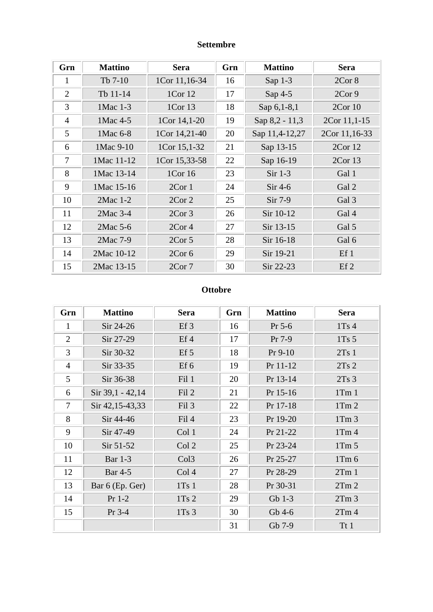### **Settembre**

| Grn            | <b>Mattino</b> | <b>Sera</b>       | Grn | <b>Mattino</b> | <b>Sera</b>   |
|----------------|----------------|-------------------|-----|----------------|---------------|
| $\mathbf{1}$   | $Tb$ 7-10      | 1Cor 11,16-34     | 16  | Sap $1-3$      | 2Cor 8        |
| $\overline{2}$ | Tb 11-14       | 1Cor 12           | 17  | Sap $4-5$      | 2Cor9         |
| 3              | 1Mac 1-3       | 1Cor 13           | 18  | Sap 6, 1-8, 1  | 2Cor10        |
| $\overline{4}$ | 1 Mac 4-5      | 1Cor 14,1-20      | 19  | Sap 8,2 - 11,3 | 2Cor 11, 1-15 |
| 5              | 1 Mac 6-8      | 1Cor 14,21-40     | 20  | Sap 11,4-12,27 | 2Cor 11,16-33 |
| 6              | 1 Mac 9-10     | 1Cor 15,1-32      | 21  | Sap 13-15      | 2Cor 12       |
| 7              | 1Mac 11-12     | 1Cor 15,33-58     | 22  | Sap 16-19      | 2Cor13        |
| 8              | 1Mac 13-14     | 1Cor 16           | 23  | $Sir 1-3$      | Gal 1         |
| 9              | 1Mac 15-16     | 2Cor1             | 24  | $Sir 4-6$      | Gal 2         |
| 10             | 2Mac 1-2       | 2Cor <sub>2</sub> | 25  | $Sir 7-9$      | Gal 3         |
| 11             | $2$ Mac $3-4$  | 2Cor <sub>3</sub> | 26  | Sir 10-12      | Gal 4         |
| 12             | 2Mac 5-6       | 2Cor <sub>4</sub> | 27  | Sir 13-15      | Gal 5         |
| 13             | 2Mac 7-9       | 2Cor <sub>5</sub> | 28  | Sir 16-18      | Gal 6         |
| 14             | 2Mac 10-12     | 2Cor 6            | 29  | Sir 19-21      | Ef1           |
| 15             | 2Mac 13-15     | 2Cor7             | 30  | Sir 22-23      | Ef2           |

### **Ottobre**

| Grn            | <b>Mattino</b>   | <b>Sera</b>      | Grn | <b>Mattino</b> | <b>Sera</b>      |
|----------------|------------------|------------------|-----|----------------|------------------|
| 1              | $Sir 24-26$      | $Ef_3$           | 16  | $Pr 5-6$       | 1Ts4             |
| $\overline{2}$ | Sir 27-29        | $Ef$ 4           | 17  | $Pr 7-9$       | 1Ts <sub>5</sub> |
| 3              | Sir 30-32        | Ef <sub>5</sub>  | 18  | $Pr 9-10$      | 2Ts1             |
| $\overline{4}$ | Sir 33-35        | $Ef$ 6           | 19  | Pr 11-12       | 2Ts2             |
| 5              | Sir 36-38        | Fil 1            | 20  | Pr 13-14       | 2Ts3             |
| 6              | Sir 39,1 - 42,14 | Fil 2            | 21  | Pr 15-16       | $1$ Tm $1$       |
| 7              | Sir 42,15-43,33  | Fil 3            | 22  | Pr 17-18       | $1$ Tm $2$       |
| 8              | Sir 44-46        | Fil 4            | 23  | Pr 19-20       | $1$ Tm $3$       |
| 9              | Sir 47-49        | Col 1            | 24  | Pr 21-22       | 1Tm <sub>4</sub> |
| 10             | $Sir 51-52$      | Col 2            | 25  | Pr 23-24       | $1$ Tm $5$       |
| 11             | <b>Bar</b> 1-3   | Col <sub>3</sub> | 26  | Pr 25-27       | 1Tm <sub>6</sub> |
| 12             | <b>Bar</b> 4-5   | Col <sub>4</sub> | 27  | Pr 28-29       | 2Tm1             |
| 13             | Bar 6 (Ep. Ger)  | 1Ts1             | 28  | Pr 30-31       | 2Tm2             |
| 14             | $Pr 1-2$         | 1Ts2             | 29  | $Gb$ 1-3       | 2Tm <sub>3</sub> |
| 15             | $Pr$ 3-4         | 1Ts <sub>3</sub> | 30  | Gb 4-6         | 2Tm <sub>4</sub> |
|                |                  |                  | 31  | Gb 7-9         | Tt1              |